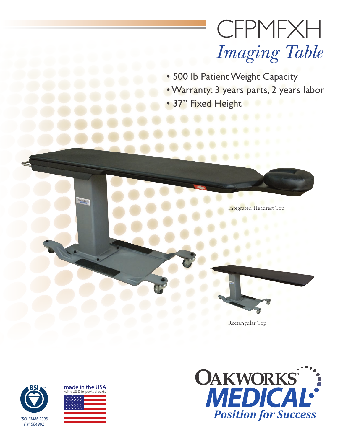# **CFPMFXH** *Imaging Table*

- 500 lb Patient Weight Capacity
- Warranty: 3 years parts, 2 years labor
- 37" Fixed Height